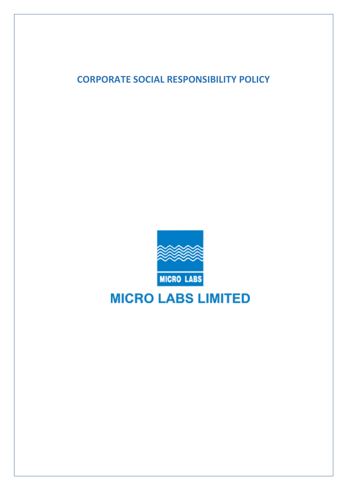**CORPORATE SOCIAL RESPONSIBILITY POLICY**



# **MICRO LABS LIMITED**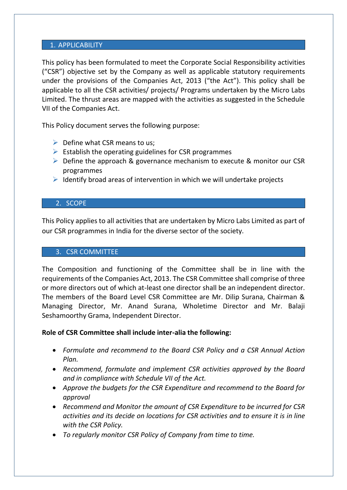#### 1. APPLICABILITY

This policy has been formulated to meet the Corporate Social Responsibility activities ("CSR") objective set by the Company as well as applicable statutory requirements under the provisions of the Companies Act, 2013 ("the Act"). This policy shall be applicable to all the CSR activities/ projects/ Programs undertaken by the Micro Labs Limited. The thrust areas are mapped with the activities as suggested in the Schedule VII of the Companies Act.

This Policy document serves the following purpose:

- $\triangleright$  Define what CSR means to us;
- $\triangleright$  Establish the operating guidelines for CSR programmes
- ➢ Define the approach & governance mechanism to execute & monitor our CSR programmes
- $\triangleright$  Identify broad areas of intervention in which we will undertake projects

## 2. SCOPE

This Policy applies to all activities that are undertaken by Micro Labs Limited as part of our CSR programmes in India for the diverse sector of the society.

## 3. CSR COMMITTEE

The Composition and functioning of the Committee shall be in line with the requirements of the Companies Act, 2013. The CSR Committee shall comprise of three or more directors out of which at-least one director shall be an independent director. The members of the Board Level CSR Committee are Mr. Dilip Surana, Chairman & Managing Director, Mr. Anand Surana, Wholetime Director and Mr. Balaji Seshamoorthy Grama, Independent Director.

# **Role of CSR Committee shall include inter-alia the following:**

- *Formulate and recommend to the Board CSR Policy and a CSR Annual Action Plan.*
- *Recommend, formulate and implement CSR activities approved by the Board and in compliance with Schedule VII of the Act.*
- *Approve the budgets for the CSR Expenditure and recommend to the Board for approval*
- *Recommend and Monitor the amount of CSR Expenditure to be incurred for CSR activities and its decide on locations for CSR activities and to ensure it is in line with the CSR Policy.*
- *To regularly monitor CSR Policy of Company from time to time.*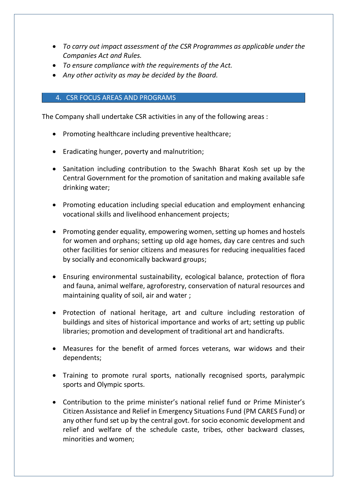- *To carry out impact assessment of the CSR Programmes as applicable under the Companies Act and Rules.*
- *To ensure compliance with the requirements of the Act.*
- *Any other activity as may be decided by the Board.*

## 4. CSR FOCUS AREAS AND PROGRAMS

The Company shall undertake CSR activities in any of the following areas :

- Promoting healthcare including preventive healthcare;
- Eradicating hunger, poverty and malnutrition;
- Sanitation including contribution to the Swachh Bharat Kosh set up by the Central Government for the promotion of sanitation and making available safe drinking water;
- Promoting education including special education and employment enhancing vocational skills and livelihood enhancement projects;
- Promoting gender equality, empowering women, setting up homes and hostels for women and orphans; setting up old age homes, day care centres and such other facilities for senior citizens and measures for reducing inequalities faced by socially and economically backward groups;
- Ensuring environmental sustainability, ecological balance, protection of flora and fauna, animal welfare, agroforestry, conservation of natural resources and maintaining quality of soil, air and water ;
- Protection of national heritage, art and culture including restoration of buildings and sites of historical importance and works of art; setting up public libraries; promotion and development of traditional art and handicrafts.
- Measures for the benefit of armed forces veterans, war widows and their dependents;
- Training to promote rural sports, nationally recognised sports, paralympic sports and Olympic sports.
- Contribution to the prime minister's national relief fund or Prime Minister's Citizen Assistance and Relief in Emergency Situations Fund (PM CARES Fund) or any other fund set up by the central govt. for socio economic development and relief and welfare of the schedule caste, tribes, other backward classes, minorities and women;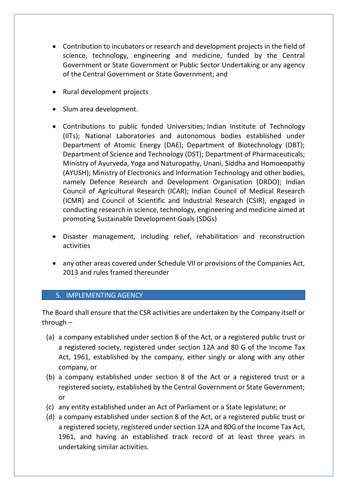- Contribution to incubators or research and development projects in the field of science, technology, engineering and medicine, funded by the Central Government or State Government or Public Sector Undertaking or any agency of the Central Government or State Government; and
- Rural development projects
- Slum area development.
- Contributions to public funded Universities; Indian Institute of Technology (IITs); National Laboratories and autonomous bodies established under Department of Atomic Energy (DAE); Department of Biotechnology (DBT); Department of Science and Technology (DST); Department of Pharmaceuticals; Ministry of Ayurveda, Yoga and Naturopathy, Unani, Siddha and Homoeopathy (AYUSH); Ministry of Electronics and Information Technology and other bodies, namely Defence Research and Development Organisation (DRDO); Indian Council of Agricultural Research (ICAR); Indian Council of Medical Research (ICMR) and Council of Scientific and Industrial Research (CSIR), engaged in conducting research in science, technology, engineering and medicine aimed at promoting Sustainable Development Goals (SDGs)
- Disaster management, including relief, rehabilitation and reconstruction activities
- any other areas covered under Schedule VII or provisions of the Companies Act, 2013 and rules framed thereunder

# 5. IMPLEMENTING AGENCY

The Board shall ensure that the CSR activities are undertaken by the Company itself or through –

- (a) a company established under section 8 of the Act, or a registered public trust or a registered society, registered under section 12A and 80 G of the Income Tax Act, 1961, established by the company, either singly or along with any other company, or
- (b) a company established under section 8 of the Act or a registered trust or a registered society, established by the Central Government or State Government; or
- (c) any entity established under an Act of Parliament or a State legislature; or
- (d) a company established under section 8 of the Act, or a registered public trust or a registered society, registered under section 12A and 80G of the Income Tax Act, 1961, and having an established track record of at least three years in undertaking similar activities.